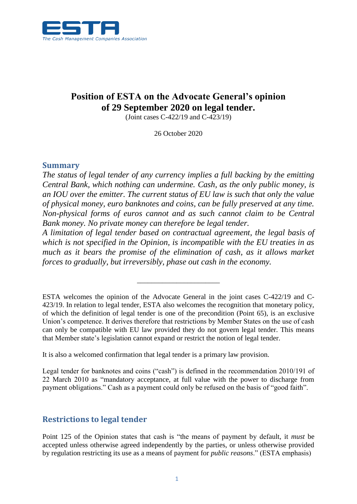

# **Position of ESTA on the Advocate General's opinion of 29 September 2020 on legal tender.**

(Joint cases C-422/19 and C-423/19)

26 October 2020

### **Summary**

*The status of legal tender of any currency implies a full backing by the emitting Central Bank, which nothing can undermine. Cash, as the only public money, is an IOU over the emitter. The current status of EU law is such that only the value of physical money, euro banknotes and coins, can be fully preserved at any time. Non-physical forms of euros cannot and as such cannot claim to be Central Bank money. No private money can therefore be legal tender.*

*A limitation of legal tender based on contractual agreement, the legal basis of which is not specified in the Opinion, is incompatible with the EU treaties in as much as it bears the promise of the elimination of cash, as it allows market forces to gradually, but irreversibly, phase out cash in the economy.*

\_\_\_\_\_\_\_\_\_\_\_\_\_\_\_\_\_\_\_\_\_\_\_

It is also a welcomed confirmation that legal tender is a primary law provision.

Legal tender for banknotes and coins ("cash") is defined in the recommendation 2010/191 of 22 March 2010 as "mandatory acceptance, at full value with the power to discharge from payment obligations." Cash as a payment could only be refused on the basis of "good faith".

### **Restrictions to legal tender**

Point 125 of the Opinion states that cash is "the means of payment by default, it *must* be accepted unless otherwise agreed independently by the parties, or unless otherwise provided by regulation restricting its use as a means of payment for *public reasons*." (ESTA emphasis)

ESTA welcomes the opinion of the Advocate General in the joint cases C-422/19 and C-423/19. In relation to legal tender, ESTA also welcomes the recognition that monetary policy, of which the definition of legal tender is one of the precondition (Point 65), is an exclusive Union's competence. It derives therefore that restrictions by Member States on the use of cash can only be compatible with EU law provided they do not govern legal tender. This means that Member state's legislation cannot expand or restrict the notion of legal tender.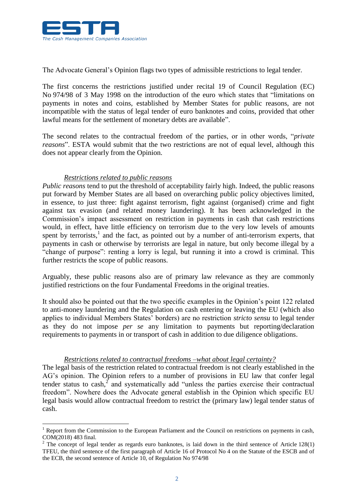

The Advocate General's Opinion flags two types of admissible restrictions to legal tender.

The first concerns the restrictions justified under recital 19 of Council Regulation (EC) No 974/98 of 3 May 1998 on the introduction of the euro which states that "limitations on payments in notes and coins, established by Member States for public reasons, are not incompatible with the status of legal tender of euro banknotes and coins, provided that other lawful means for the settlement of monetary debts are available".

The second relates to the contractual freedom of the parties, or in other words, "*private reasons*". ESTA would submit that the two restrictions are not of equal level, although this does not appear clearly from the Opinion.

#### *Restrictions related to public reasons*

<u>.</u>

*Public reasons* tend to put the threshold of acceptability fairly high. Indeed, the public reasons put forward by Member States are all based on overarching public policy objectives limited, in essence, to just three: fight against terrorism, fight against (organised) crime and fight against tax evasion (and related money laundering). It has been acknowledged in the Commission's impact assessment on restriction in payments in cash that cash restrictions would, in effect, have little efficiency on terrorism due to the very low levels of amounts spent by terrorists,<sup>1</sup> and the fact, as pointed out by a number of anti-terrorism experts, that payments in cash or otherwise by terrorists are legal in nature, but only become illegal by a "change of purpose": renting a lorry is legal, but running it into a crowd is criminal. This further restricts the scope of public reasons.

Arguably, these public reasons also are of primary law relevance as they are commonly justified restrictions on the four Fundamental Freedoms in the original treaties.

It should also be pointed out that the two specific examples in the Opinion's point 122 related to anti-money laundering and the Regulation on cash entering or leaving the EU (which also applies to individual Members States' borders) are no restriction *stricto sensu* to legal tender as they do not impose *per se* any limitation to payments but reporting/declaration requirements to payments in or transport of cash in addition to due diligence obligations.

#### *Restrictions related to contractual freedoms –what about legal certainty?*

The legal basis of the restriction related to contractual freedom is not clearly established in the AG's opinion. The Opinion refers to a number of provisions in EU law that confer legal tender status to cash, $<sup>2</sup>$  and systematically add "unless the parties exercise their contractual</sup> freedom". Nowhere does the Advocate general establish in the Opinion which specific EU legal basis would allow contractual freedom to restrict the (primary law) legal tender status of cash.

 $1$  Report from the Commission to the European Parliament and the Council on restrictions on payments in cash, COM(2018) 483 final.

 $2$  The concept of legal tender as regards euro banknotes, is laid down in the third sentence of Article 128(1) TFEU, the third sentence of the first paragraph of Article 16 of Protocol No 4 on the Statute of the ESCB and of the ECB, the second sentence of Article 10, of Regulation No 974/98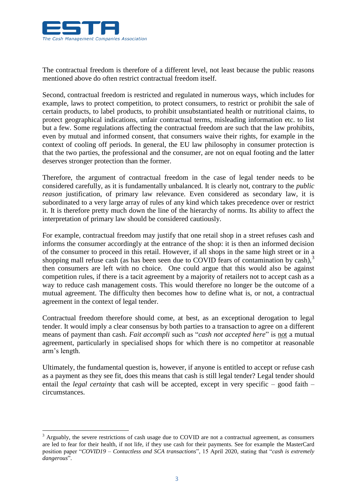

1

The contractual freedom is therefore of a different level, not least because the public reasons mentioned above do often restrict contractual freedom itself.

Second, contractual freedom is restricted and regulated in numerous ways, which includes for example, laws to protect competition, to protect consumers, to restrict or prohibit the sale of certain products, to label products, to prohibit unsubstantiated health or nutritional claims, to protect geographical indications, unfair contractual terms, misleading information etc. to list but a few. Some regulations affecting the contractual freedom are such that the law prohibits, even by mutual and informed consent, that consumers waive their rights, for example in the context of cooling off periods. In general, the EU law philosophy in consumer protection is that the two parties, the professional and the consumer, are not on equal footing and the latter deserves stronger protection than the former.

Therefore, the argument of contractual freedom in the case of legal tender needs to be considered carefully, as it is fundamentally unbalanced. It is clearly not, contrary to the *public reason* justification, of primary law relevance. Even considered as secondary law, it is subordinated to a very large array of rules of any kind which takes precedence over or restrict it. It is therefore pretty much down the line of the hierarchy of norms. Its ability to affect the interpretation of primary law should be considered cautiously.

For example, contractual freedom may justify that one retail shop in a street refuses cash and informs the consumer accordingly at the entrance of the shop: it is then an informed decision of the consumer to proceed in this retail. However, if all shops in the same high street or in a shopping mall refuse cash (as has been seen due to COVID fears of contamination by cash), $3$ then consumers are left with no choice. One could argue that this would also be against competition rules, if there is a tacit agreement by a majority of retailers not to accept cash as a way to reduce cash management costs. This would therefore no longer be the outcome of a mutual agreement. The difficulty then becomes how to define what is, or not, a contractual agreement in the context of legal tender.

Contractual freedom therefore should come, at best, as an exceptional derogation to legal tender. It would imply a clear consensus by both parties to a transaction to agree on a different means of payment than cash. *Fait accompli* such as "*cash not accepted here*" is not a mutual agreement, particularly in specialised shops for which there is no competitor at reasonable arm's length.

Ultimately, the fundamental question is, however, if anyone is entitled to accept or refuse cash as a payment as they see fit, does this means that cash is still legal tender? Legal tender should entail the *legal certainty* that cash will be accepted, except in very specific – good faith – circumstances.

<sup>&</sup>lt;sup>3</sup> Arguably, the severe restrictions of cash usage due to COVID are not a contractual agreement, as consumers are led to fear for their health, if not life, if they use cash for their payments. See for example the MasterCard position paper "*COVID19 – Contactless and SCA transactions*", 15 April 2020, stating that "*cash is extremely dangerous*".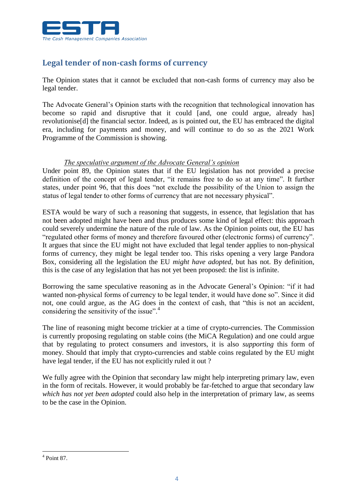

# **Legal tender of non-cash forms of currency**

The Opinion states that it cannot be excluded that non-cash forms of currency may also be legal tender.

The Advocate General's Opinion starts with the recognition that technological innovation has become so rapid and disruptive that it could [and, one could argue, already has] revolutionise[d] the financial sector. Indeed, as is pointed out, the EU has embraced the digital era, including for payments and money, and will continue to do so as the 2021 Work Programme of the Commission is showing.

#### *The speculative argument of the Advocate General's opinion*

Under point 89, the Opinion states that if the EU legislation has not provided a precise definition of the concept of legal tender, "it remains free to do so at any time". It further states, under point 96, that this does "not exclude the possibility of the Union to assign the status of legal tender to other forms of currency that are not necessary physical".

ESTA would be wary of such a reasoning that suggests, in essence, that legislation that has not been adopted might have been and thus produces some kind of legal effect: this approach could severely undermine the nature of the rule of law. As the Opinion points out, the EU has "regulated other forms of money and therefore favoured other (electronic forms) of currency". It argues that since the EU might not have excluded that legal tender applies to non-physical forms of currency, they might be legal tender too. This risks opening a very large Pandora Box, considering all the legislation the EU *might have adopted*, but has not. By definition, this is the case of any legislation that has not yet been proposed: the list is infinite.

Borrowing the same speculative reasoning as in the Advocate General's Opinion: "if it had wanted non-physical forms of currency to be legal tender, it would have done so". Since it did not, one could argue, as the AG does in the context of cash, that "this is not an accident, considering the sensitivity of the issue".<sup>4</sup>

The line of reasoning might become trickier at a time of crypto-currencies. The Commission is currently proposing regulating on stable coins (the MiCA Regulation) and one could argue that by regulating to protect consumers and investors, it is also *supporting* this form of money. Should that imply that crypto-currencies and stable coins regulated by the EU might have legal tender, if the EU has not explicitly ruled it out ?

We fully agree with the Opinion that secondary law might help interpreting primary law, even in the form of recitals. However, it would probably be far-fetched to argue that secondary law *which has not yet been adopted* could also help in the interpretation of primary law, as seems to be the case in the Opinion.

<sup>1</sup>  $<sup>4</sup>$  Point 87.</sup>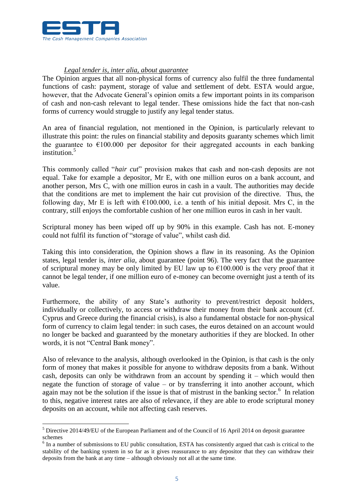

<u>.</u>

#### *Legal tender is, inter alia, about guarantee*

The Opinion argues that all non-physical forms of currency also fulfil the three fundamental functions of cash: payment, storage of value and settlement of debt. ESTA would argue, however, that the Advocate General's opinion omits a few important points in its comparison of cash and non-cash relevant to legal tender. These omissions hide the fact that non-cash forms of currency would struggle to justify any legal tender status.

An area of financial regulation, not mentioned in the Opinion, is particularly relevant to illustrate this point: the rules on financial stability and deposits guaranty schemes which limit the guarantee to  $\epsilon$ 100.000 per depositor for their aggregated accounts in each banking institution.<sup>5</sup>

This commonly called "*hair cut*" provision makes that cash and non-cash deposits are not equal. Take for example a depositor, Mr E, with one million euros on a bank account, and another person, Mrs C, with one million euros in cash in a vault. The authorities may decide that the conditions are met to implement the hair cut provision of the directive. Thus, the following day, Mr E is left with  $\epsilon$ 100.000, i.e. a tenth of his initial deposit. Mrs C, in the contrary, still enjoys the comfortable cushion of her one million euros in cash in her vault.

Scriptural money has been wiped off up by 90% in this example. Cash has not. E-money could not fulfil its function of "storage of value", whilst cash did.

Taking this into consideration, the Opinion shows a flaw in its reasoning. As the Opinion states, legal tender is, *inter alia*, about guarantee (point 96). The very fact that the guarantee of scriptural money may be only limited by EU law up to  $\epsilon$ 100.000 is the very proof that it cannot be legal tender, if one million euro of e-money can become overnight just a tenth of its value.

Furthermore, the ability of any State's authority to prevent/restrict deposit holders, individually or collectively, to access or withdraw their money from their bank account (cf. Cyprus and Greece during the financial crisis), is also a fundamental obstacle for non-physical form of currency to claim legal tender: in such cases, the euros detained on an account would no longer be backed and guaranteed by the monetary authorities if they are blocked. In other words, it is not "Central Bank money".

Also of relevance to the analysis, although overlooked in the Opinion, is that cash is the only form of money that makes it possible for anyone to withdraw deposits from a bank. Without cash, deposits can only be withdrawn from an account by spending  $it$  – which would then negate the function of storage of value – or by transferring it into another account, which again may not be the solution if the issue is that of mistrust in the banking sector. $6$  In relation to this, negative interest rates are also of relevance, if they are able to erode scriptural money deposits on an account, while not affecting cash reserves.

<sup>5</sup> Directive 2014/49/EU of the European Parliament and of the Council of 16 April 2014 on deposit guarantee schemes

<sup>&</sup>lt;sup>6</sup> In a number of submissions to EU public consultation, ESTA has consistently argued that cash is critical to the stability of the banking system in so far as it gives reassurance to any depositor that they can withdraw their deposits from the bank at any time – although obviously not all at the same time.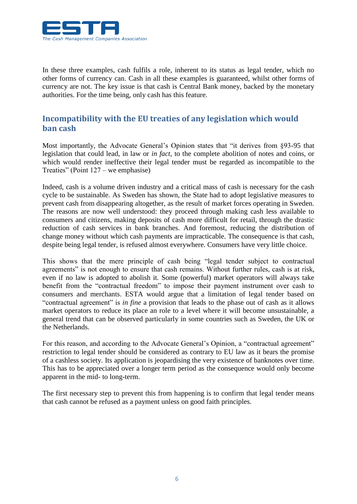

In these three examples, cash fulfils a role, inherent to its status as legal tender, which no other forms of currency can. Cash in all these examples is guaranteed, whilst other forms of currency are not. The key issue is that cash is Central Bank money, backed by the monetary authorities. For the time being, only cash has this feature.

### **Incompatibility with the EU treaties of any legislation which would ban cash**

Most importantly, the Advocate General's Opinion states that "it derives from §93-95 that legislation that could lead, in law or *in fact*, to the complete abolition of notes and coins, or which would render ineffective their legal tender must be regarded as incompatible to the Treaties" (Point 127 – we emphasise)

Indeed, cash is a volume driven industry and a critical mass of cash is necessary for the cash cycle to be sustainable. As Sweden has shown, the State had to adopt legislative measures to prevent cash from disappearing altogether, as the result of market forces operating in Sweden. The reasons are now well understood: they proceed through making cash less available to consumers and citizens, making deposits of cash more difficult for retail, through the drastic reduction of cash services in bank branches. And foremost, reducing the distribution of change money without which cash payments are impracticable. The consequence is that cash, despite being legal tender, is refused almost everywhere. Consumers have very little choice.

This shows that the mere principle of cash being "legal tender subject to contractual agreements" is not enough to ensure that cash remains. Without further rules, cash is at risk, even if no law is adopted to abolish it. Some (powerful) market operators will always take benefit from the "contractual freedom" to impose their payment instrument over cash to consumers and merchants. ESTA would argue that a limitation of legal tender based on "contractual agreement" is *in fine* a provision that leads to the phase out of cash as it allows market operators to reduce its place an role to a level where it will become unsustainable, a general trend that can be observed particularly in some countries such as Sweden, the UK or the Netherlands.

For this reason, and according to the Advocate General's Opinion, a "contractual agreement" restriction to legal tender should be considered as contrary to EU law as it bears the promise of a cashless society. Its application is jeopardising the very existence of banknotes over time. This has to be appreciated over a longer term period as the consequence would only become apparent in the mid- to long-term.

The first necessary step to prevent this from happening is to confirm that legal tender means that cash cannot be refused as a payment unless on good faith principles.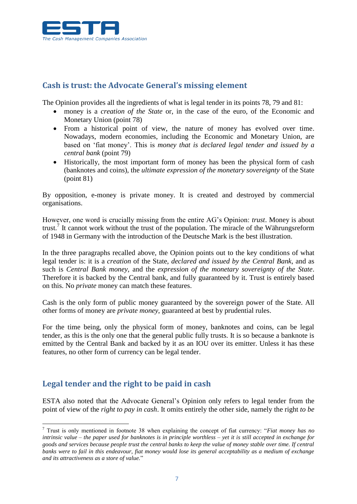

### **Cash is trust: the Advocate General's missing element**

The Opinion provides all the ingredients of what is legal tender in its points 78, 79 and 81:

- money is a *creation of the State* or, in the case of the euro, of the Economic and Monetary Union (point 78)
- From a historical point of view, the nature of money has evolved over time. Nowadays, modern economies, including the Economic and Monetary Union, are based on 'fiat money'. This is *money that is declared legal tender and issued by a central bank* (point 79)
- Historically, the most important form of money has been the physical form of cash (banknotes and coins), the *ultimate expression of the monetary sovereignty* of the State (point 81)

By opposition, e-money is private money. It is created and destroyed by commercial organisations.

However, one word is crucially missing from the entire AG's Opinion: *trust*. Money is about trust.<sup>7</sup> It cannot work without the trust of the population. The miracle of the Währungsreform of 1948 in Germany with the introduction of the Deutsche Mark is the best illustration.

In the three paragraphs recalled above, the Opinion points out to the key conditions of what legal tender is: it is a *creation* of the State, *declared and issued by the Central Bank,* and as such is *Central Bank money,* and the *expression of the monetary sovereignty of the State*. Therefore it is backed by the Central bank, and fully guaranteed by it. Trust is entirely based on this. No *private* money can match these features.

Cash is the only form of public money guaranteed by the sovereign power of the State. All other forms of money are *private money*, guaranteed at best by prudential rules.

For the time being, only the physical form of money, banknotes and coins, can be legal tender, as this is the only one that the general public fully trusts. It is so because a banknote is emitted by the Central Bank and backed by it as an IOU over its emitter. Unless it has these features, no other form of currency can be legal tender.

## **Legal tender and the right to be paid in cash**

<u>.</u>

ESTA also noted that the Advocate General's Opinion only refers to legal tender from the point of view of the *right to pay in cash*. It omits entirely the other side, namely the right *to be* 

<sup>7</sup> Trust is only mentioned in footnote 38 when explaining the concept of fiat currency: "*Fiat money has no intrinsic value – the paper used for banknotes is in principle worthless – yet it is still accepted in exchange for goods and services because people trust the central banks to keep the value of money stable over time. If central banks were to fail in this endeavour, fiat money would lose its general acceptability as a medium of exchange and its attractiveness as a store of value.*"